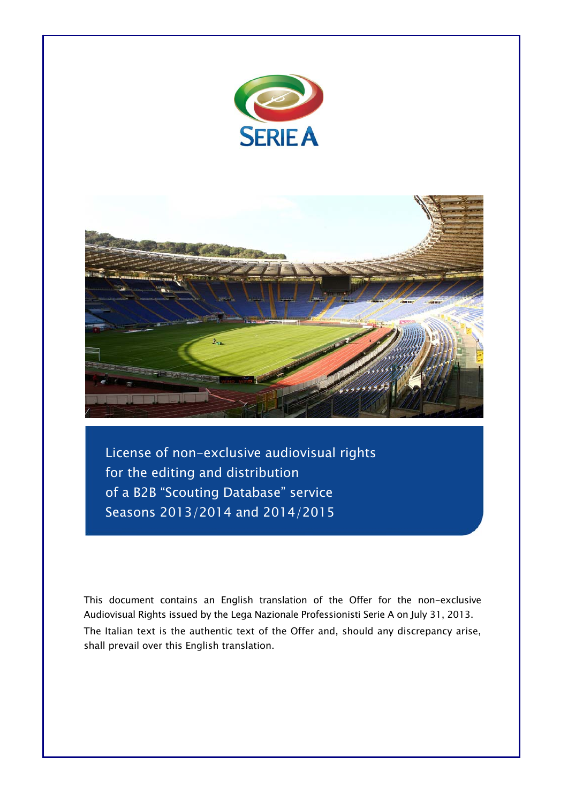



License of non-exclusive audiovisual rights for the editing and distribution of a B2B "Scouting Database" service Seasons 2013/2014 and 2014/2015

This document contains an English translation of the Offer for the non-exclusive Audiovisual Rights issued by the Lega Nazionale Professionisti Serie A on July 31, 2013. The Italian text is the authentic text of the Offer and, should any discrepancy arise, shall prevail over this English translation.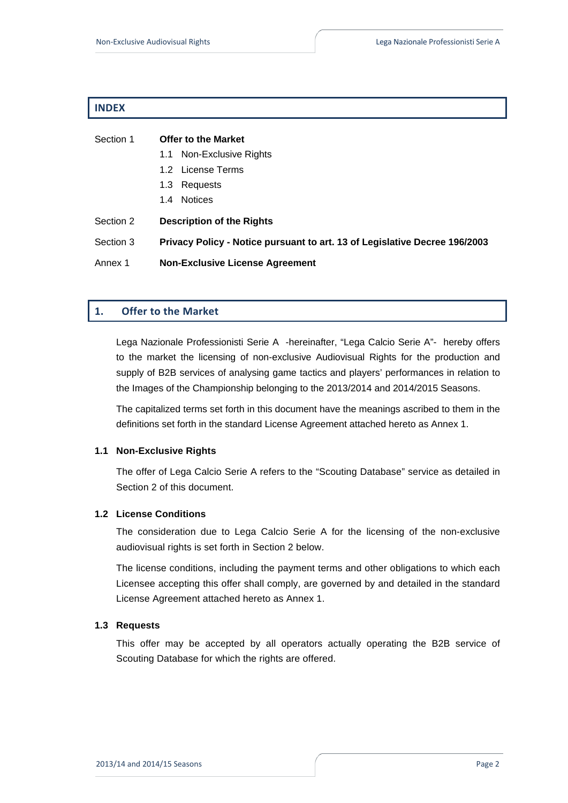# **INDEX**

| Section 1 | <b>Offer to the Market</b>                                                 |  |
|-----------|----------------------------------------------------------------------------|--|
|           | 1.1 Non-Exclusive Rights                                                   |  |
|           | 1.2 License Terms                                                          |  |
|           | 1.3 Requests                                                               |  |
|           | 1.4 Notices                                                                |  |
| Section 2 | <b>Description of the Rights</b>                                           |  |
| Section 3 | Privacy Policy - Notice pursuant to art. 13 of Legislative Decree 196/2003 |  |
| Annex 1   | <b>Non-Exclusive License Agreement</b>                                     |  |

# **1. Offer to the Market**

Lega Nazionale Professionisti Serie A -hereinafter, "Lega Calcio Serie A"- hereby offers to the market the licensing of non-exclusive Audiovisual Rights for the production and supply of B2B services of analysing game tactics and players' performances in relation to the Images of the Championship belonging to the 2013/2014 and 2014/2015 Seasons.

The capitalized terms set forth in this document have the meanings ascribed to them in the definitions set forth in the standard License Agreement attached hereto as Annex 1.

### **1.1 Non-Exclusive Rights**

The offer of Lega Calcio Serie A refers to the "Scouting Database" service as detailed in Section 2 of this document.

### **1.2 License Conditions**

The consideration due to Lega Calcio Serie A for the licensing of the non-exclusive audiovisual rights is set forth in Section 2 below.

The license conditions, including the payment terms and other obligations to which each Licensee accepting this offer shall comply, are governed by and detailed in the standard License Agreement attached hereto as Annex 1.

# **1.3 Requests**

This offer may be accepted by all operators actually operating the B2B service of Scouting Database for which the rights are offered.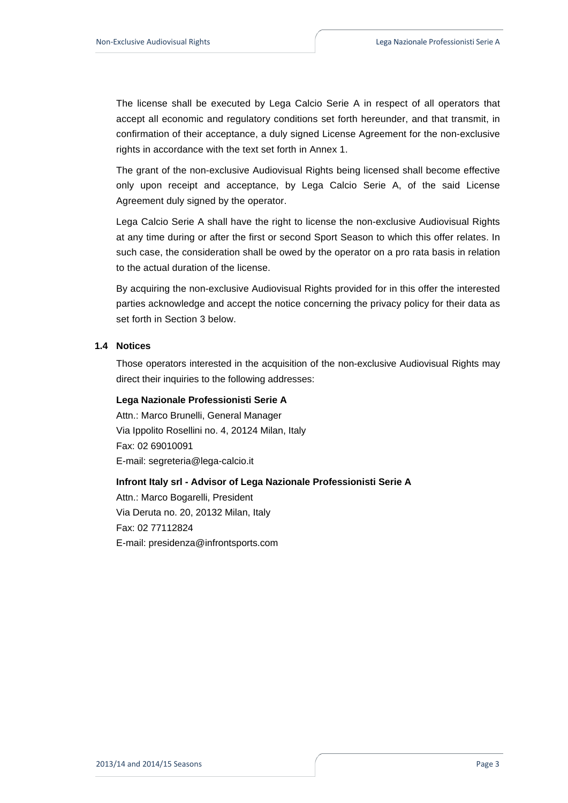The license shall be executed by Lega Calcio Serie A in respect of all operators that accept all economic and regulatory conditions set forth hereunder, and that transmit, in confirmation of their acceptance, a duly signed License Agreement for the non-exclusive rights in accordance with the text set forth in Annex 1.

The grant of the non-exclusive Audiovisual Rights being licensed shall become effective only upon receipt and acceptance, by Lega Calcio Serie A, of the said License Agreement duly signed by the operator.

Lega Calcio Serie A shall have the right to license the non-exclusive Audiovisual Rights at any time during or after the first or second Sport Season to which this offer relates. In such case, the consideration shall be owed by the operator on a pro rata basis in relation to the actual duration of the license.

By acquiring the non-exclusive Audiovisual Rights provided for in this offer the interested parties acknowledge and accept the notice concerning the privacy policy for their data as set forth in Section 3 below.

### **1.4 Notices**

Those operators interested in the acquisition of the non-exclusive Audiovisual Rights may direct their inquiries to the following addresses:

#### **Lega Nazionale Professionisti Serie A**

Attn.: Marco Brunelli, General Manager Via Ippolito Rosellini no. 4, 20124 Milan, Italy Fax: 02 69010091 E-mail: segreteria@lega-calcio.it

## **Infront Italy srl - Advisor of Lega Nazionale Professionisti Serie A**

Attn.: Marco Bogarelli, President Via Deruta no. 20, 20132 Milan, Italy Fax: 02 77112824 E-mail: presidenza@infrontsports.com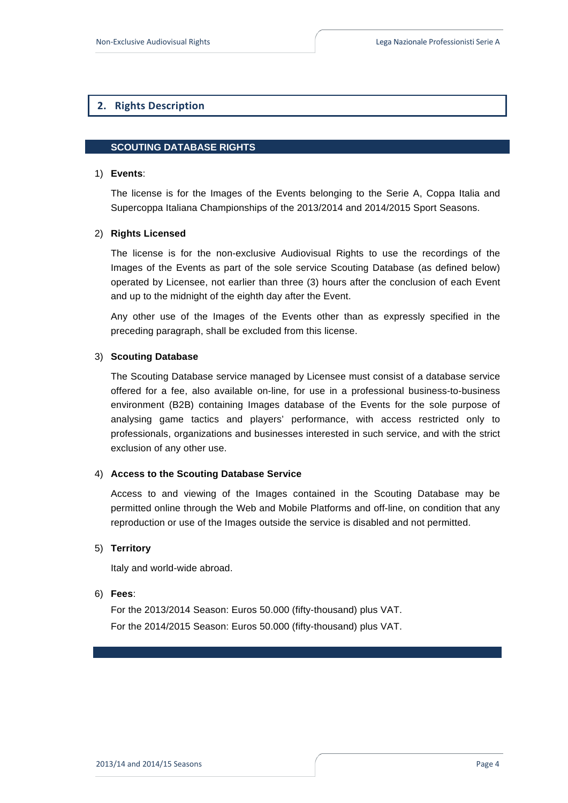# **2. Rights Description**

### **SCOUTING DATABASE RIGHTS**

#### 1) **Events**:

The license is for the Images of the Events belonging to the Serie A, Coppa Italia and Supercoppa Italiana Championships of the 2013/2014 and 2014/2015 Sport Seasons.

### 2) **Rights Licensed**

The license is for the non-exclusive Audiovisual Rights to use the recordings of the Images of the Events as part of the sole service Scouting Database (as defined below) operated by Licensee, not earlier than three (3) hours after the conclusion of each Event and up to the midnight of the eighth day after the Event.

Any other use of the Images of the Events other than as expressly specified in the preceding paragraph, shall be excluded from this license.

### 3) **Scouting Database**

The Scouting Database service managed by Licensee must consist of a database service offered for a fee, also available on-line, for use in a professional business-to-business environment (B2B) containing Images database of the Events for the sole purpose of analysing game tactics and players' performance, with access restricted only to professionals, organizations and businesses interested in such service, and with the strict exclusion of any other use.

### 4) **Access to the Scouting Database Service**

Access to and viewing of the Images contained in the Scouting Database may be permitted online through the Web and Mobile Platforms and off-line, on condition that any reproduction or use of the Images outside the service is disabled and not permitted.

### 5) **Territory**

Italy and world-wide abroad.

#### 6) **Fees**:

For the 2013/2014 Season: Euros 50.000 (fifty-thousand) plus VAT. For the 2014/2015 Season: Euros 50.000 (fifty-thousand) plus VAT.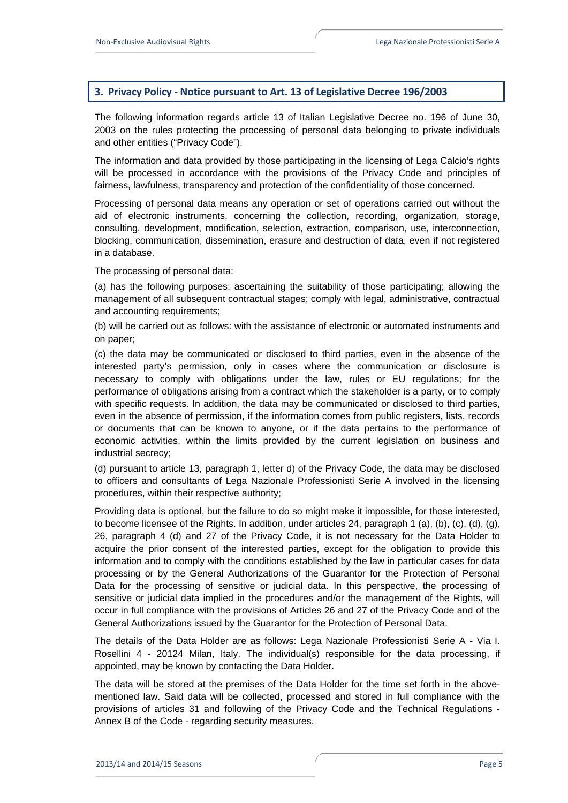# **3. Privacy Policy ‐ Notice pursuant to Art. 13 of Legislative Decree 196/2003**

The following information regards article 13 of Italian Legislative Decree no. 196 of June 30, 2003 on the rules protecting the processing of personal data belonging to private individuals and other entities ("Privacy Code").

The information and data provided by those participating in the licensing of Lega Calcio's rights will be processed in accordance with the provisions of the Privacy Code and principles of fairness, lawfulness, transparency and protection of the confidentiality of those concerned.

Processing of personal data means any operation or set of operations carried out without the aid of electronic instruments, concerning the collection, recording, organization, storage, consulting, development, modification, selection, extraction, comparison, use, interconnection, blocking, communication, dissemination, erasure and destruction of data, even if not registered in a database.

The processing of personal data:

(a) has the following purposes: ascertaining the suitability of those participating; allowing the management of all subsequent contractual stages; comply with legal, administrative, contractual and accounting requirements;

(b) will be carried out as follows: with the assistance of electronic or automated instruments and on paper;

(c) the data may be communicated or disclosed to third parties, even in the absence of the interested party's permission, only in cases where the communication or disclosure is necessary to comply with obligations under the law, rules or EU regulations; for the performance of obligations arising from a contract which the stakeholder is a party, or to comply with specific requests. In addition, the data may be communicated or disclosed to third parties, even in the absence of permission, if the information comes from public registers, lists, records or documents that can be known to anyone, or if the data pertains to the performance of economic activities, within the limits provided by the current legislation on business and industrial secrecy;

(d) pursuant to article 13, paragraph 1, letter d) of the Privacy Code, the data may be disclosed to officers and consultants of Lega Nazionale Professionisti Serie A involved in the licensing procedures, within their respective authority;

Providing data is optional, but the failure to do so might make it impossible, for those interested, to become licensee of the Rights. In addition, under articles 24, paragraph 1 (a), (b), (c), (d), (g), 26, paragraph 4 (d) and 27 of the Privacy Code, it is not necessary for the Data Holder to acquire the prior consent of the interested parties, except for the obligation to provide this information and to comply with the conditions established by the law in particular cases for data processing or by the General Authorizations of the Guarantor for the Protection of Personal Data for the processing of sensitive or judicial data. In this perspective, the processing of sensitive or judicial data implied in the procedures and/or the management of the Rights, will occur in full compliance with the provisions of Articles 26 and 27 of the Privacy Code and of the General Authorizations issued by the Guarantor for the Protection of Personal Data.

The details of the Data Holder are as follows: Lega Nazionale Professionisti Serie A - Via I. Rosellini 4 - 20124 Milan, Italy. The individual(s) responsible for the data processing, if appointed, may be known by contacting the Data Holder.

The data will be stored at the premises of the Data Holder for the time set forth in the abovementioned law. Said data will be collected, processed and stored in full compliance with the provisions of articles 31 and following of the Privacy Code and the Technical Regulations - Annex B of the Code - regarding security measures.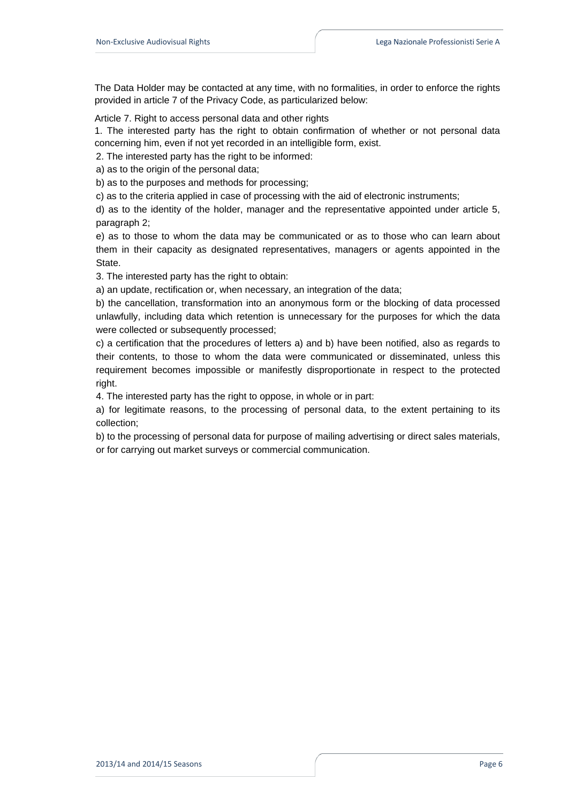The Data Holder may be contacted at any time, with no formalities, in order to enforce the rights provided in article 7 of the Privacy Code, as particularized below:

Article 7. Right to access personal data and other rights

1. The interested party has the right to obtain confirmation of whether or not personal data concerning him, even if not yet recorded in an intelligible form, exist.

2. The interested party has the right to be informed:

a) as to the origin of the personal data;

b) as to the purposes and methods for processing;

c) as to the criteria applied in case of processing with the aid of electronic instruments;

 d) as to the identity of the holder, manager and the representative appointed under article 5, paragraph 2;

 e) as to those to whom the data may be communicated or as to those who can learn about them in their capacity as designated representatives, managers or agents appointed in the State.

3. The interested party has the right to obtain:

a) an update, rectification or, when necessary, an integration of the data;

 b) the cancellation, transformation into an anonymous form or the blocking of data processed unlawfully, including data which retention is unnecessary for the purposes for which the data were collected or subsequently processed;

 c) a certification that the procedures of letters a) and b) have been notified, also as regards to their contents, to those to whom the data were communicated or disseminated, unless this requirement becomes impossible or manifestly disproportionate in respect to the protected right.

4. The interested party has the right to oppose, in whole or in part:

 a) for legitimate reasons, to the processing of personal data, to the extent pertaining to its collection;

 b) to the processing of personal data for purpose of mailing advertising or direct sales materials, or for carrying out market surveys or commercial communication.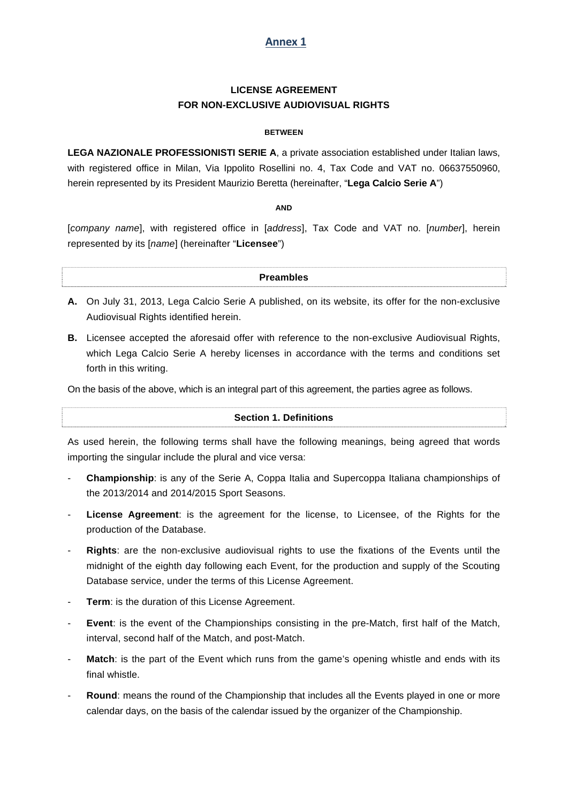# **Annex 1**

# **LICENSE AGREEMENT FOR NON-EXCLUSIVE AUDIOVISUAL RIGHTS**

### **BETWEEN**

**LEGA NAZIONALE PROFESSIONISTI SERIE A**, a private association established under Italian laws, with registered office in Milan, Via Ippolito Rosellini no. 4, Tax Code and VAT no. 06637550960, herein represented by its President Maurizio Beretta (hereinafter, "**Lega Calcio Serie A**")

# **AND**

[*company name*], with registered office in [*address*], Tax Code and VAT no. [*number*], herein represented by its [*name*] (hereinafter "**Licensee**")

# **Preambles**

- **A.** On July 31, 2013, Lega Calcio Serie A published, on its website, its offer for the non-exclusive Audiovisual Rights identified herein.
- **B.** Licensee accepted the aforesaid offer with reference to the non-exclusive Audiovisual Rights, which Lega Calcio Serie A hereby licenses in accordance with the terms and conditions set forth in this writing.

On the basis of the above, which is an integral part of this agreement, the parties agree as follows.

### **Section 1. Definitions**

As used herein, the following terms shall have the following meanings, being agreed that words importing the singular include the plural and vice versa:

- - **Championship**: is any of the Serie A, Coppa Italia and Supercoppa Italiana championships of the 2013/2014 and 2014/2015 Sport Seasons.
- - **License Agreement**: is the agreement for the license, to Licensee, of the Rights for the production of the Database.
- - **Rights**: are the non-exclusive audiovisual rights to use the fixations of the Events until the midnight of the eighth day following each Event, for the production and supply of the Scouting Database service, under the terms of this License Agreement.
- **Term:** is the duration of this License Agreement.
- - **Event**: is the event of the Championships consisting in the pre-Match, first half of the Match, interval, second half of the Match, and post-Match.
- **Match**: is the part of the Event which runs from the game's opening whistle and ends with its final whistle.
- **Round**: means the round of the Championship that includes all the Events played in one or more calendar days, on the basis of the calendar issued by the organizer of the Championship.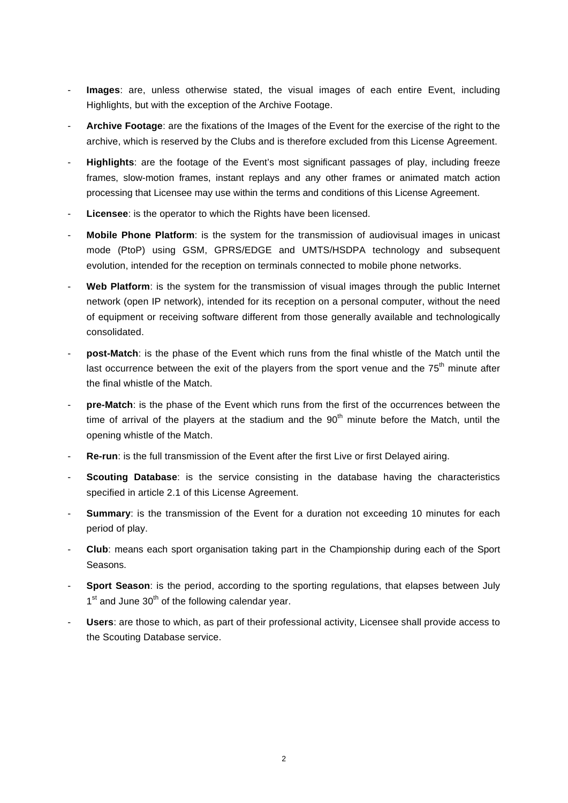- - **Images**: are, unless otherwise stated, the visual images of each entire Event, including Highlights, but with the exception of the Archive Footage.
- - **Archive Footage**: are the fixations of the Images of the Event for the exercise of the right to the archive, which is reserved by the Clubs and is therefore excluded from this License Agreement.
- - **Highlights**: are the footage of the Event's most significant passages of play, including freeze frames, slow-motion frames, instant replays and any other frames or animated match action processing that Licensee may use within the terms and conditions of this License Agreement.
- Licensee: is the operator to which the Rights have been licensed.
- - **Mobile Phone Platform**: is the system for the transmission of audiovisual images in unicast mode (PtoP) using GSM, GPRS/EDGE and UMTS/HSDPA technology and subsequent evolution, intended for the reception on terminals connected to mobile phone networks.
- Web Platform: is the system for the transmission of visual images through the public Internet network (open IP network), intended for its reception on a personal computer, without the need of equipment or receiving software different from those generally available and technologically consolidated.
- post-Match: is the phase of the Event which runs from the final whistle of the Match until the last occurrence between the exit of the players from the sport venue and the  $75<sup>th</sup>$  minute after the final whistle of the Match.
- pre-Match: is the phase of the Event which runs from the first of the occurrences between the time of arrival of the players at the stadium and the  $90<sup>th</sup>$  minute before the Match, until the opening whistle of the Match.
- - **Re-run**: is the full transmission of the Event after the first Live or first Delayed airing.
- - **Scouting Database**: is the service consisting in the database having the characteristics specified in article 2.1 of this License Agreement.
- **Summary:** is the transmission of the Event for a duration not exceeding 10 minutes for each period of play.
- - **Club**: means each sport organisation taking part in the Championship during each of the Sport Seasons.
- **Sport Season:** is the period, according to the sporting regulations, that elapses between July  $1<sup>st</sup>$  and June  $30<sup>th</sup>$  of the following calendar year.
- Users: are those to which, as part of their professional activity, Licensee shall provide access to the Scouting Database service.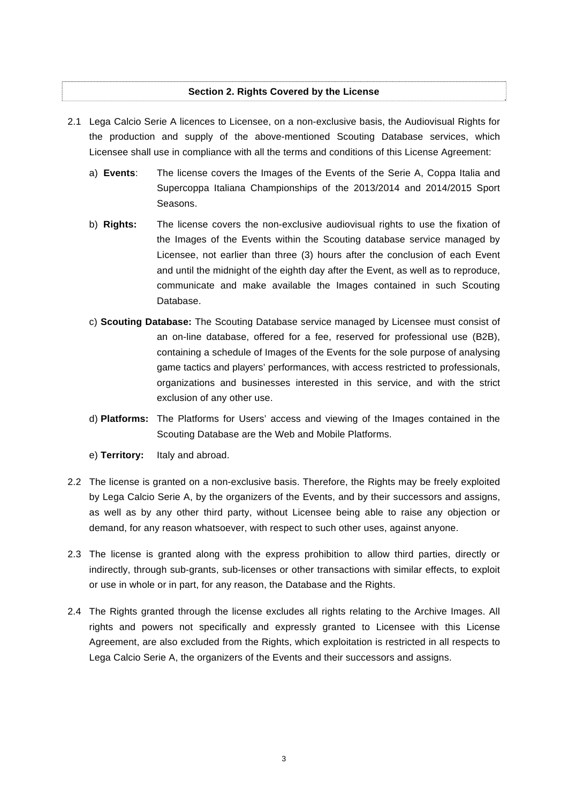# **Section 2. Rights Covered by the License**

- 2.1 Lega Calcio Serie A licences to Licensee, on a non-exclusive basis, the Audiovisual Rights for the production and supply of the above-mentioned Scouting Database services, which Licensee shall use in compliance with all the terms and conditions of this License Agreement:
	- a) **Events**: The license covers the Images of the Events of the Serie A, Coppa Italia and Supercoppa Italiana Championships of the 2013/2014 and 2014/2015 Sport Seasons.
	- b) **Rights:** The license covers the non-exclusive audiovisual rights to use the fixation of the Images of the Events within the Scouting database service managed by Licensee, not earlier than three (3) hours after the conclusion of each Event and until the midnight of the eighth day after the Event, as well as to reproduce, communicate and make available the Images contained in such Scouting Database.
	- c) **Scouting Database:** The Scouting Database service managed by Licensee must consist of an on-line database, offered for a fee, reserved for professional use (B2B), containing a schedule of Images of the Events for the sole purpose of analysing game tactics and players' performances, with access restricted to professionals, organizations and businesses interested in this service, and with the strict exclusion of any other use.
	- d) **Platforms:** The Platforms for Users' access and viewing of the Images contained in the Scouting Database are the Web and Mobile Platforms.
	- e) **Territory:** Italy and abroad.
- 2.2 The license is granted on a non-exclusive basis. Therefore, the Rights may be freely exploited by Lega Calcio Serie A, by the organizers of the Events, and by their successors and assigns, as well as by any other third party, without Licensee being able to raise any objection or demand, for any reason whatsoever, with respect to such other uses, against anyone.
- 2.3 The license is granted along with the express prohibition to allow third parties, directly or indirectly, through sub-grants, sub-licenses or other transactions with similar effects, to exploit or use in whole or in part, for any reason, the Database and the Rights.
- 2.4 The Rights granted through the license excludes all rights relating to the Archive Images. All rights and powers not specifically and expressly granted to Licensee with this License Agreement, are also excluded from the Rights, which exploitation is restricted in all respects to Lega Calcio Serie A, the organizers of the Events and their successors and assigns.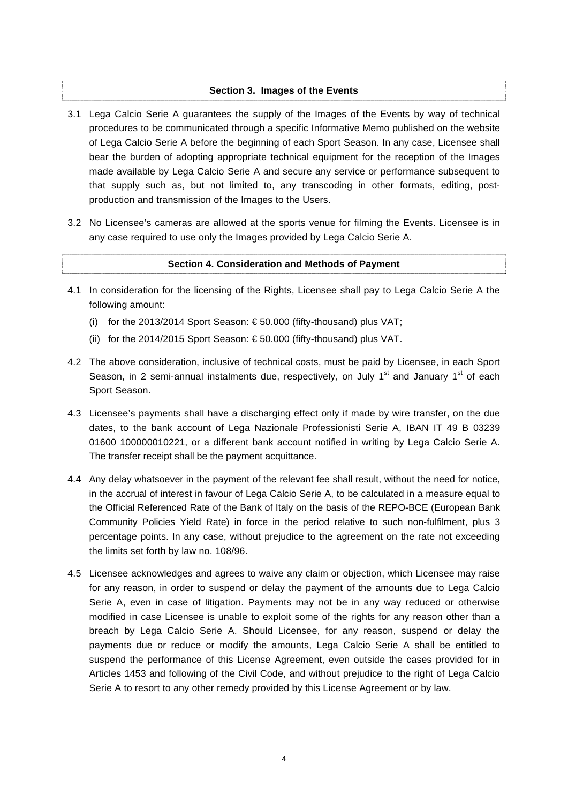# **Section 3. Images of the Events**

- 3.1 Lega Calcio Serie A guarantees the supply of the Images of the Events by way of technical procedures to be communicated through a specific Informative Memo published on the website of Lega Calcio Serie A before the beginning of each Sport Season. In any case, Licensee shall bear the burden of adopting appropriate technical equipment for the reception of the Images made available by Lega Calcio Serie A and secure any service or performance subsequent to that supply such as, but not limited to, any transcoding in other formats, editing, postproduction and transmission of the Images to the Users.
- 3.2 No Licensee's cameras are allowed at the sports venue for filming the Events. Licensee is in any case required to use only the Images provided by Lega Calcio Serie A.

# **Section 4. Consideration and Methods of Payment**

- 4.1 In consideration for the licensing of the Rights, Licensee shall pay to Lega Calcio Serie A the following amount:
	- (i) for the 2013/2014 Sport Season:  $\epsilon$  50.000 (fifty-thousand) plus VAT;
	- (ii) for the 2014/2015 Sport Season: € 50.000 (fifty-thousand) plus VAT.
- 4.2 The above consideration, inclusive of technical costs, must be paid by Licensee, in each Sport Season, in 2 semi-annual instalments due, respectively, on July  $1<sup>st</sup>$  and January  $1<sup>st</sup>$  of each Sport Season.
- 4.3 Licensee's payments shall have a discharging effect only if made by wire transfer, on the due dates, to the bank account of Lega Nazionale Professionisti Serie A, IBAN IT 49 B 03239 01600 100000010221, or a different bank account notified in writing by Lega Calcio Serie A. The transfer receipt shall be the payment acquittance.
- 4.4 Any delay whatsoever in the payment of the relevant fee shall result, without the need for notice, in the accrual of interest in favour of Lega Calcio Serie A, to be calculated in a measure equal to the Official Referenced Rate of the Bank of Italy on the basis of the REPO-BCE (European Bank Community Policies Yield Rate) in force in the period relative to such non-fulfilment, plus 3 percentage points. In any case, without prejudice to the agreement on the rate not exceeding the limits set forth by law no. 108/96.
- 4.5 Licensee acknowledges and agrees to waive any claim or objection, which Licensee may raise for any reason, in order to suspend or delay the payment of the amounts due to Lega Calcio Serie A, even in case of litigation. Payments may not be in any way reduced or otherwise modified in case Licensee is unable to exploit some of the rights for any reason other than a breach by Lega Calcio Serie A. Should Licensee, for any reason, suspend or delay the payments due or reduce or modify the amounts, Lega Calcio Serie A shall be entitled to suspend the performance of this License Agreement, even outside the cases provided for in Articles 1453 and following of the Civil Code, and without prejudice to the right of Lega Calcio Serie A to resort to any other remedy provided by this License Agreement or by law.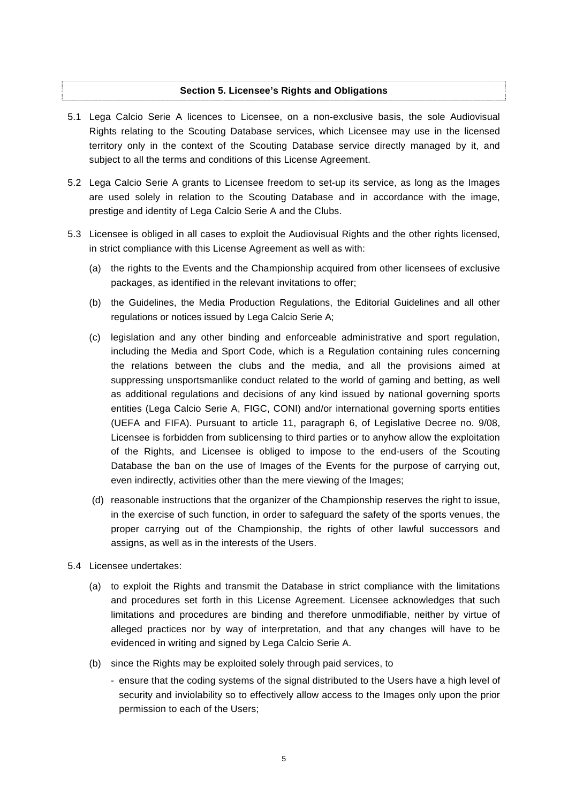# **Section 5. Licensee's Rights and Obligations**

- 5.1 Lega Calcio Serie A licences to Licensee, on a non-exclusive basis, the sole Audiovisual Rights relating to the Scouting Database services, which Licensee may use in the licensed territory only in the context of the Scouting Database service directly managed by it, and subject to all the terms and conditions of this License Agreement.
- 5.2 Lega Calcio Serie A grants to Licensee freedom to set-up its service, as long as the Images are used solely in relation to the Scouting Database and in accordance with the image, prestige and identity of Lega Calcio Serie A and the Clubs.
- 5.3 Licensee is obliged in all cases to exploit the Audiovisual Rights and the other rights licensed, in strict compliance with this License Agreement as well as with:
	- (a) the rights to the Events and the Championship acquired from other licensees of exclusive packages, as identified in the relevant invitations to offer;
	- (b) the Guidelines, the Media Production Regulations, the Editorial Guidelines and all other regulations or notices issued by Lega Calcio Serie A;
	- (c) legislation and any other binding and enforceable administrative and sport regulation, including the Media and Sport Code, which is a Regulation containing rules concerning the relations between the clubs and the media, and all the provisions aimed at suppressing unsportsmanlike conduct related to the world of gaming and betting, as well as additional regulations and decisions of any kind issued by national governing sports entities (Lega Calcio Serie A, FIGC, CONI) and/or international governing sports entities (UEFA and FIFA). Pursuant to article 11, paragraph 6, of Legislative Decree no. 9/08, Licensee is forbidden from sublicensing to third parties or to anyhow allow the exploitation of the Rights, and Licensee is obliged to impose to the end-users of the Scouting Database the ban on the use of Images of the Events for the purpose of carrying out, even indirectly, activities other than the mere viewing of the Images;
	- (d) reasonable instructions that the organizer of the Championship reserves the right to issue, in the exercise of such function, in order to safeguard the safety of the sports venues, the proper carrying out of the Championship, the rights of other lawful successors and assigns, as well as in the interests of the Users.
- 5.4 Licensee undertakes:
	- (a) to exploit the Rights and transmit the Database in strict compliance with the limitations and procedures set forth in this License Agreement. Licensee acknowledges that such limitations and procedures are binding and therefore unmodifiable, neither by virtue of alleged practices nor by way of interpretation, and that any changes will have to be evidenced in writing and signed by Lega Calcio Serie A.
	- (b) since the Rights may be exploited solely through paid services, to
		- ensure that the coding systems of the signal distributed to the Users have a high level of security and inviolability so to effectively allow access to the Images only upon the prior permission to each of the Users;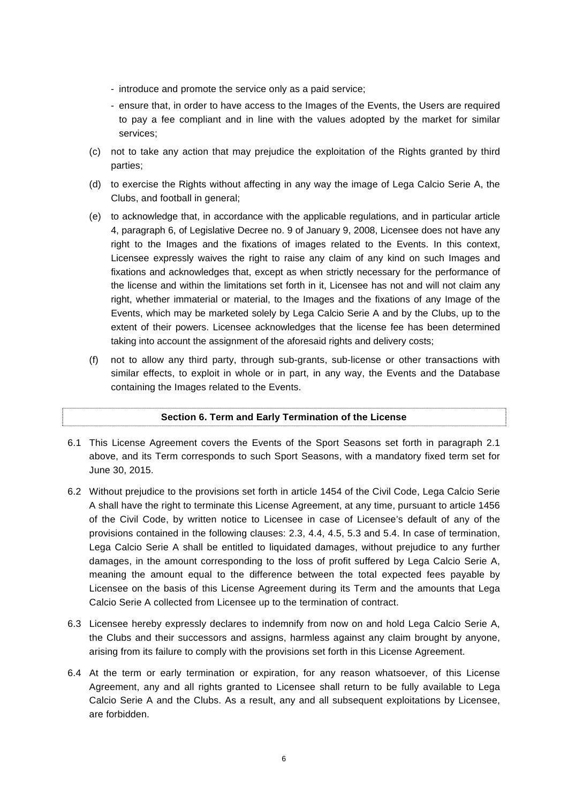- introduce and promote the service only as a paid service;
- ensure that, in order to have access to the Images of the Events, the Users are required to pay a fee compliant and in line with the values adopted by the market for similar services;
- (c) not to take any action that may prejudice the exploitation of the Rights granted by third parties;
- (d) to exercise the Rights without affecting in any way the image of Lega Calcio Serie A, the Clubs, and football in general;
- (e) to acknowledge that, in accordance with the applicable regulations, and in particular article 4, paragraph 6, of Legislative Decree no. 9 of January 9, 2008, Licensee does not have any right to the Images and the fixations of images related to the Events. In this context, Licensee expressly waives the right to raise any claim of any kind on such Images and fixations and acknowledges that, except as when strictly necessary for the performance of the license and within the limitations set forth in it, Licensee has not and will not claim any right, whether immaterial or material, to the Images and the fixations of any Image of the Events, which may be marketed solely by Lega Calcio Serie A and by the Clubs, up to the extent of their powers. Licensee acknowledges that the license fee has been determined taking into account the assignment of the aforesaid rights and delivery costs;
- (f) not to allow any third party, through sub-grants, sub-license or other transactions with similar effects, to exploit in whole or in part, in any way, the Events and the Database containing the Images related to the Events.

### **Section 6. Term and Early Termination of the License**

- 6.1 This License Agreement covers the Events of the Sport Seasons set forth in paragraph 2.1 above, and its Term corresponds to such Sport Seasons, with a mandatory fixed term set for June 30, 2015.
- 6.2 Without prejudice to the provisions set forth in article 1454 of the Civil Code, Lega Calcio Serie A shall have the right to terminate this License Agreement, at any time, pursuant to article 1456 of the Civil Code, by written notice to Licensee in case of Licensee's default of any of the provisions contained in the following clauses: 2.3, 4.4, 4.5, 5.3 and 5.4. In case of termination, Lega Calcio Serie A shall be entitled to liquidated damages, without prejudice to any further damages, in the amount corresponding to the loss of profit suffered by Lega Calcio Serie A, meaning the amount equal to the difference between the total expected fees payable by Licensee on the basis of this License Agreement during its Term and the amounts that Lega Calcio Serie A collected from Licensee up to the termination of contract.
- 6.3 Licensee hereby expressly declares to indemnify from now on and hold Lega Calcio Serie A, the Clubs and their successors and assigns, harmless against any claim brought by anyone, arising from its failure to comply with the provisions set forth in this License Agreement.
- 6.4 At the term or early termination or expiration, for any reason whatsoever, of this License Agreement, any and all rights granted to Licensee shall return to be fully available to Lega Calcio Serie A and the Clubs. As a result, any and all subsequent exploitations by Licensee, are forbidden.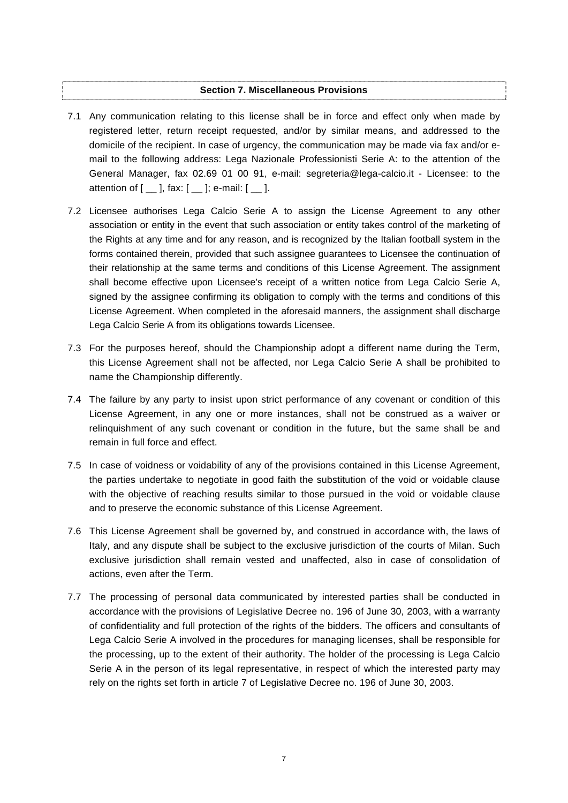# **Section 7. Miscellaneous Provisions**

- 7.1 Any communication relating to this license shall be in force and effect only when made by registered letter, return receipt requested, and/or by similar means, and addressed to the domicile of the recipient. In case of urgency, the communication may be made via fax and/or email to the following address: Lega Nazionale Professionisti Serie A: to the attention of the General Manager, fax 02.69 01 00 91, e-mail: segreteria@lega-calcio.it - Licensee: to the attention of  $[$   $\Box$   $]$ , fax:  $[$   $\Box$   $]$ ; e-mail:  $[$   $\Box$   $]$ .
- 7.2 Licensee authorises Lega Calcio Serie A to assign the License Agreement to any other association or entity in the event that such association or entity takes control of the marketing of the Rights at any time and for any reason, and is recognized by the Italian football system in the forms contained therein, provided that such assignee guarantees to Licensee the continuation of their relationship at the same terms and conditions of this License Agreement. The assignment shall become effective upon Licensee's receipt of a written notice from Lega Calcio Serie A, signed by the assignee confirming its obligation to comply with the terms and conditions of this License Agreement. When completed in the aforesaid manners, the assignment shall discharge Lega Calcio Serie A from its obligations towards Licensee.
- 7.3 For the purposes hereof, should the Championship adopt a different name during the Term, this License Agreement shall not be affected, nor Lega Calcio Serie A shall be prohibited to name the Championship differently.
- 7.4 The failure by any party to insist upon strict performance of any covenant or condition of this License Agreement, in any one or more instances, shall not be construed as a waiver or relinquishment of any such covenant or condition in the future, but the same shall be and remain in full force and effect.
- 7.5 In case of voidness or voidability of any of the provisions contained in this License Agreement, the parties undertake to negotiate in good faith the substitution of the void or voidable clause with the objective of reaching results similar to those pursued in the void or voidable clause and to preserve the economic substance of this License Agreement.
- 7.6 This License Agreement shall be governed by, and construed in accordance with, the laws of Italy, and any dispute shall be subject to the exclusive jurisdiction of the courts of Milan. Such exclusive jurisdiction shall remain vested and unaffected, also in case of consolidation of actions, even after the Term.
- 7.7 The processing of personal data communicated by interested parties shall be conducted in accordance with the provisions of Legislative Decree no. 196 of June 30, 2003, with a warranty of confidentiality and full protection of the rights of the bidders. The officers and consultants of Lega Calcio Serie A involved in the procedures for managing licenses, shall be responsible for the processing, up to the extent of their authority. The holder of the processing is Lega Calcio Serie A in the person of its legal representative, in respect of which the interested party may rely on the rights set forth in article 7 of Legislative Decree no. 196 of June 30, 2003.